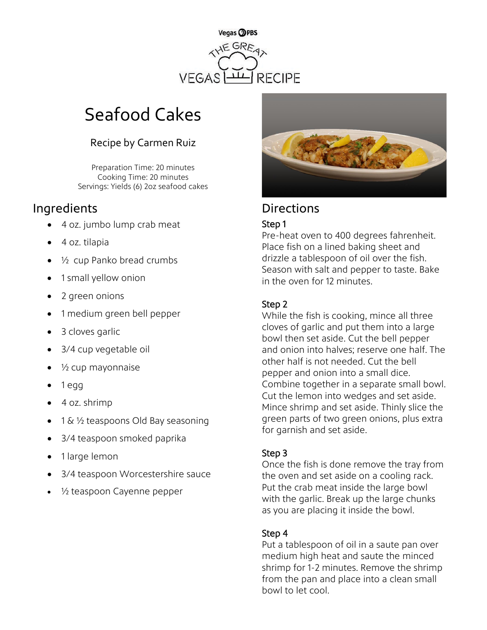

# Seafood Cakes

## Recipe by Carmen Ruiz

Preparation Time: 20 minutes Cooking Time: 20 minutes Servings: Yields (6) 2oz seafood cakes

# Ingredients **Directions**

- 4 oz. jumbo lump crab meat
- 4 oz. tilapia
- $\frac{1}{2}$  cup Panko bread crumbs
- 1 small yellow onion
- 2 green onions
- 1 medium green bell pepper
- 3 cloves garlic
- 3/4 cup vegetable oil
- ½ cup mayonnaise
- 1 egg
- 4 oz. shrimp
- 1 &  $\frac{1}{2}$  teaspoons Old Bay seasoning
- 3/4 teaspoon smoked paprika
- 1 large lemon
- 3/4 teaspoon Worcestershire sauce
- 1/2 teaspoon Cayenne pepper



#### Step 1

Pre-heat oven to 400 degrees fahrenheit. Place fish on a lined baking sheet and drizzle a tablespoon of oil over the fish. Season with salt and pepper to taste. Bake in the oven for 12 minutes.

#### Step 2

While the fish is cooking, mince all three cloves of garlic and put them into a large bowl then set aside. Cut the bell pepper and onion into halves; reserve one half. The other half is not needed. Cut the bell pepper and onion into a small dice. Combine together in a separate small bowl. Cut the lemon into wedges and set aside. Mince shrimp and set aside. Thinly slice the green parts of two green onions, plus extra for garnish and set aside.

#### Step 3

Once the fish is done remove the tray from the oven and set aside on a cooling rack. Put the crab meat inside the large bowl with the garlic. Break up the large chunks as you are placing it inside the bowl.

#### Step 4

Put a tablespoon of oil in a saute pan over medium high heat and saute the minced shrimp for 1-2 minutes. Remove the shrimp from the pan and place into a clean small bowl to let cool.